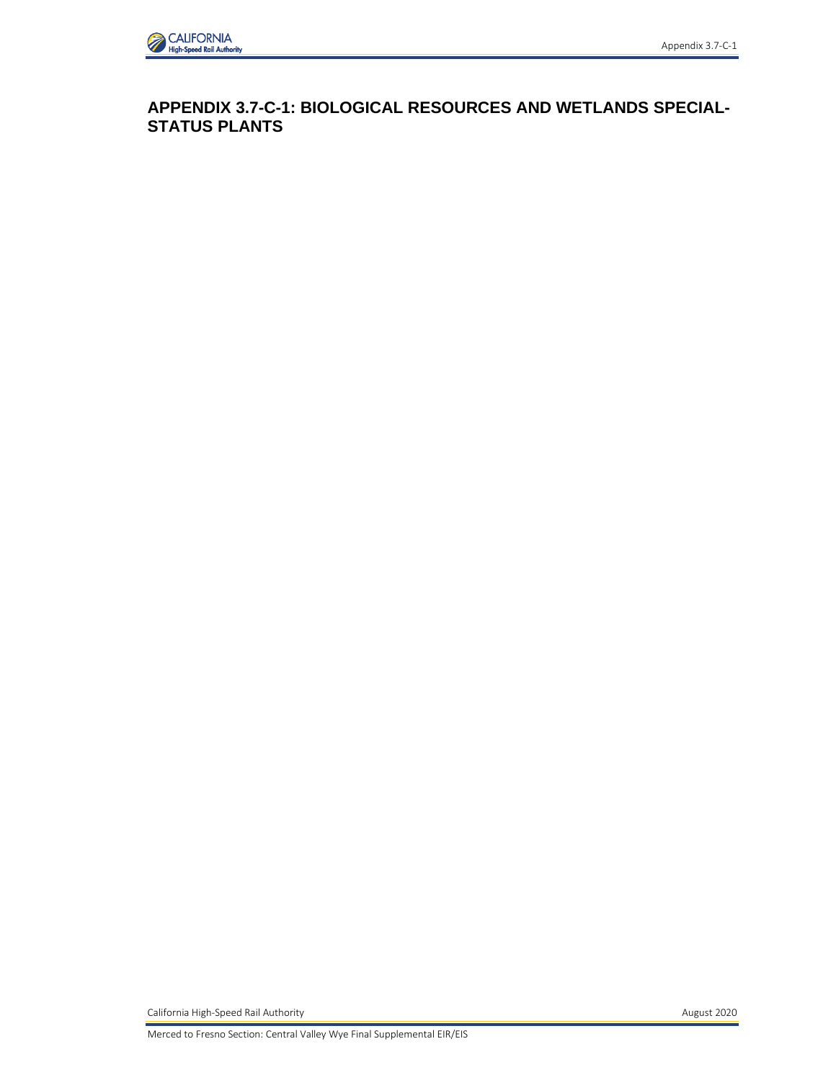

**APPENDIX 3.7-C-1: BIOLOGICAL RESOURCES AND WETLANDS SPECIAL-STATUS PLANTS** 

California High-Speed Rail Authority **August 2020 August 2020**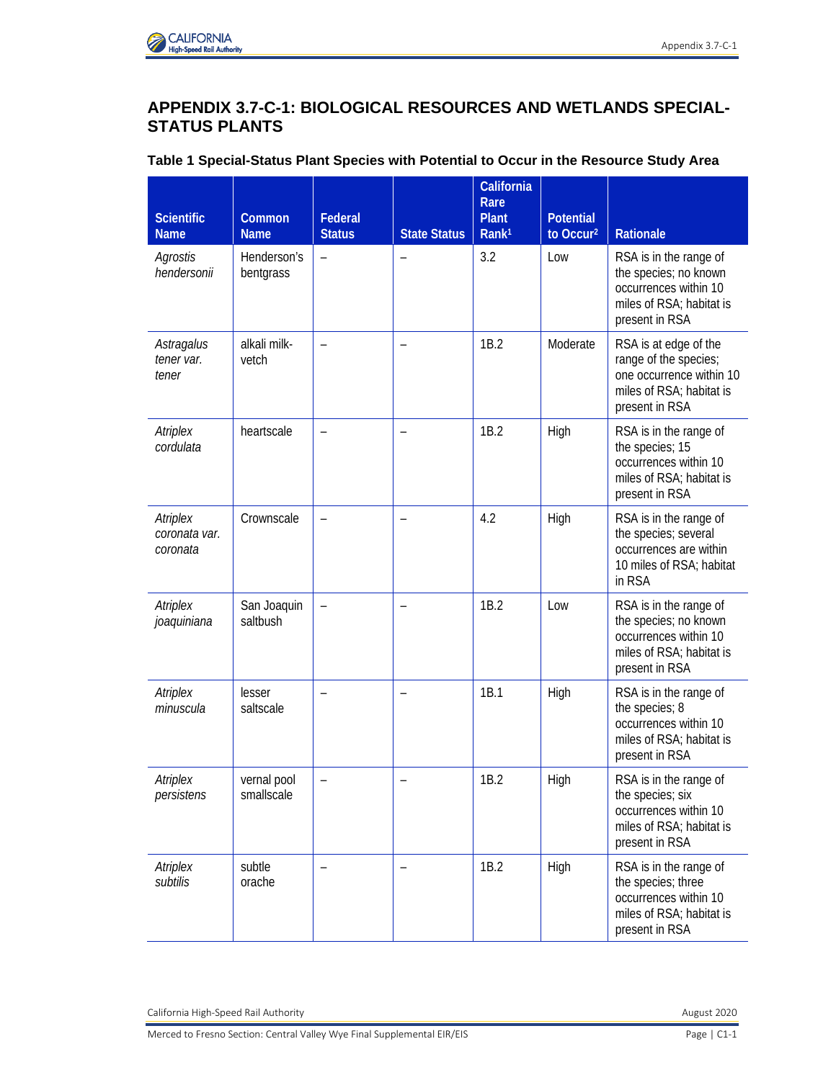

## **APPENDIX 3.7-C-1: BIOLOGICAL RESOURCES AND WETLANDS SPECIAL-STATUS PLANTS**

|  |  | Table 1 Special-Status Plant Species with Potential to Occur in the Resource Study Area |
|--|--|-----------------------------------------------------------------------------------------|
|  |  |                                                                                         |

| <b>Scientific</b><br><b>Name</b>      | Common<br><b>Name</b>     | Federal<br><b>Status</b> | <b>State Status</b>      | California<br>Rare<br><b>Plant</b><br>Rank <sup>1</sup> | <b>Potential</b><br>to Occur <sup>2</sup> | <b>Rationale</b>                                                                                                         |
|---------------------------------------|---------------------------|--------------------------|--------------------------|---------------------------------------------------------|-------------------------------------------|--------------------------------------------------------------------------------------------------------------------------|
| Agrostis<br>hendersonii               | Henderson's<br>bentgrass  | $\qquad \qquad -$        |                          | 3.2                                                     | Low                                       | RSA is in the range of<br>the species; no known<br>occurrences within 10<br>miles of RSA; habitat is<br>present in RSA   |
| Astragalus<br>tener var.<br>tener     | alkali milk-<br>vetch     |                          |                          | 1B.2                                                    | Moderate                                  | RSA is at edge of the<br>range of the species;<br>one occurrence within 10<br>miles of RSA; habitat is<br>present in RSA |
| Atriplex<br>cordulata                 | heartscale                | $\overline{\phantom{m}}$ | $\overline{\phantom{0}}$ | 1B.2                                                    | High                                      | RSA is in the range of<br>the species; 15<br>occurrences within 10<br>miles of RSA; habitat is<br>present in RSA         |
| Atriplex<br>coronata var.<br>coronata | Crownscale                |                          |                          | 4.2                                                     | High                                      | RSA is in the range of<br>the species; several<br>occurrences are within<br>10 miles of RSA; habitat<br>in RSA           |
| Atriplex<br>joaquiniana               | San Joaquin<br>saltbush   |                          |                          | 1B.2                                                    | Low                                       | RSA is in the range of<br>the species; no known<br>occurrences within 10<br>miles of RSA; habitat is<br>present in RSA   |
| Atriplex<br>minuscula                 | lesser<br>saltscale       |                          |                          | 1B.1                                                    | High                                      | RSA is in the range of<br>the species; 8<br>occurrences within 10<br>miles of RSA; habitat is<br>present in RSA          |
| Atriplex<br>persistens                | vernal pool<br>smallscale | $\qquad \qquad -$        |                          | 1B.2                                                    | High                                      | RSA is in the range of<br>the species; six<br>occurrences within 10<br>miles of RSA; habitat is<br>present in RSA        |
| Atriplex<br>subtilis                  | subtle<br>orache          |                          |                          | 1B.2                                                    | High                                      | RSA is in the range of<br>the species; three<br>occurrences within 10<br>miles of RSA; habitat is<br>present in RSA      |

California High-Speed Rail Authority **August 2020 August 2020**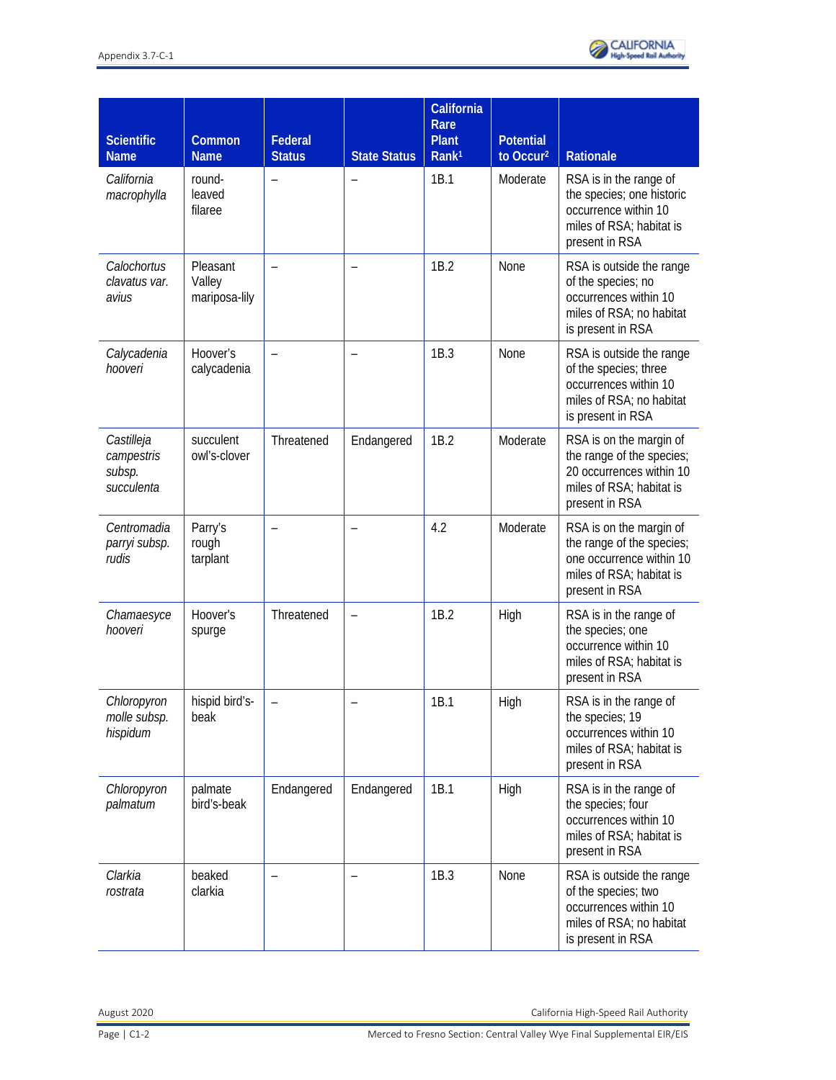

| <b>Scientific</b><br><b>Name</b>                 | Common<br><b>Name</b>               | Federal<br><b>Status</b> | <b>State Status</b> | California<br>Rare<br><b>Plant</b><br>Rank <sup>1</sup> | <b>Potential</b><br>to Occur <sup>2</sup> | Rationale                                                                                                                      |
|--------------------------------------------------|-------------------------------------|--------------------------|---------------------|---------------------------------------------------------|-------------------------------------------|--------------------------------------------------------------------------------------------------------------------------------|
| California<br>macrophylla                        | round-<br>leaved<br>filaree         |                          |                     | 1B.1                                                    | Moderate                                  | RSA is in the range of<br>the species; one historic<br>occurrence within 10<br>miles of RSA; habitat is<br>present in RSA      |
| Calochortus<br>clavatus var.<br>avius            | Pleasant<br>Valley<br>mariposa-lily | $\overline{a}$           |                     | 1B.2                                                    | None                                      | RSA is outside the range<br>of the species; no<br>occurrences within 10<br>miles of RSA; no habitat<br>is present in RSA       |
| Calycadenia<br>hooveri                           | Hoover's<br>calycadenia             |                          |                     | 1B.3                                                    | None                                      | RSA is outside the range<br>of the species; three<br>occurrences within 10<br>miles of RSA; no habitat<br>is present in RSA    |
| Castilleja<br>campestris<br>subsp.<br>succulenta | succulent<br>owl's-clover           | Threatened               | Endangered          | 1B.2                                                    | Moderate                                  | RSA is on the margin of<br>the range of the species;<br>20 occurrences within 10<br>miles of RSA; habitat is<br>present in RSA |
| Centromadia<br>parryi subsp.<br>rudis            | Parry's<br>rough<br>tarplant        | $\overline{\phantom{a}}$ |                     | 4.2                                                     | Moderate                                  | RSA is on the margin of<br>the range of the species;<br>one occurrence within 10<br>miles of RSA; habitat is<br>present in RSA |
| Chamaesyce<br>hooveri                            | Hoover's<br>spurge                  | Threatened               |                     | 1B.2                                                    | High                                      | RSA is in the range of<br>the species; one<br>occurrence within 10<br>miles of RSA; habitat is<br>present in RSA               |
| Chloropyron<br>molle subsp.<br>hispidum          | hispid bird's-<br>beak              |                          |                     | 1B.1                                                    | High                                      | RSA is in the range of<br>the species; 19<br>occurrences within 10<br>miles of RSA; habitat is<br>present in RSA               |
| Chloropyron<br>palmatum                          | palmate<br>bird's-beak              | Endangered               | Endangered          | 1B.1                                                    | High                                      | RSA is in the range of<br>the species; four<br>occurrences within 10<br>miles of RSA; habitat is<br>present in RSA             |
| Clarkia<br>rostrata                              | beaked<br>clarkia                   |                          |                     | 1B.3                                                    | None                                      | RSA is outside the range<br>of the species; two<br>occurrences within 10<br>miles of RSA; no habitat<br>is present in RSA      |

August 2020 California High-Speed Rail Authority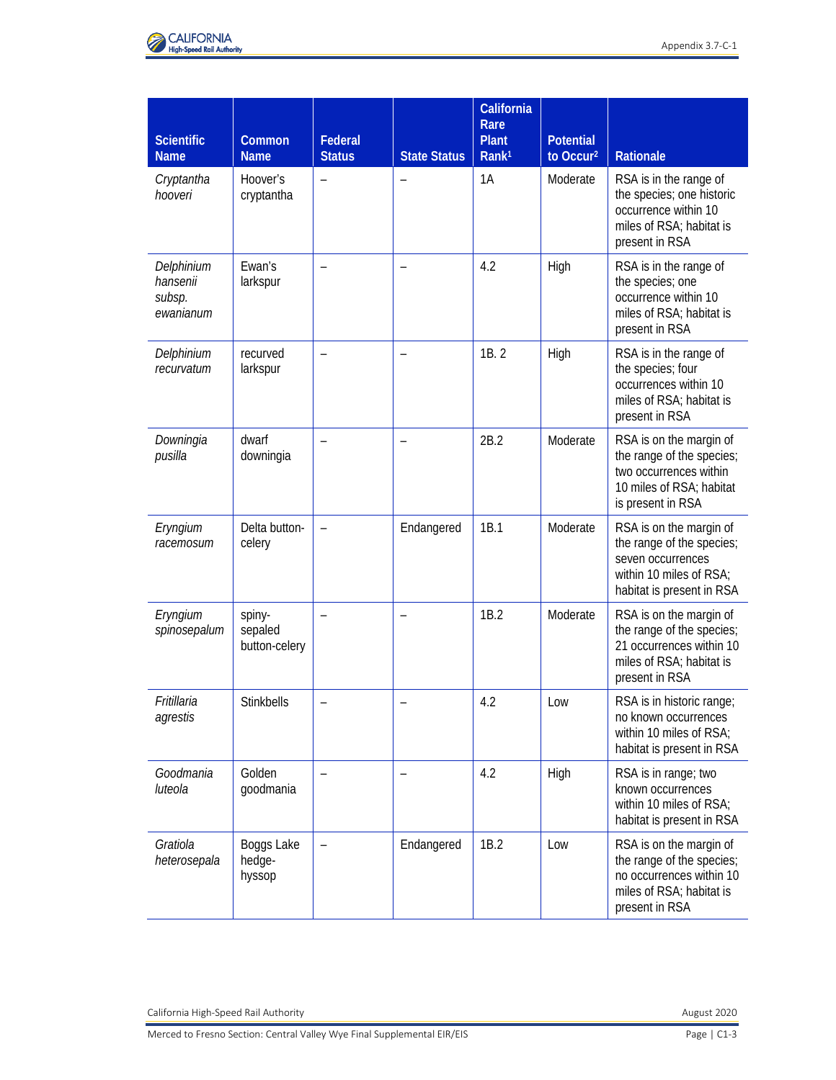

| <b>Scientific</b><br><b>Name</b>              | <b>Common</b><br><b>Name</b>       | Federal<br><b>Status</b> | <b>State Status</b> | California<br>Rare<br><b>Plant</b><br>Rank <sup>1</sup> | <b>Potential</b><br>to Occur <sup>2</sup> | <b>Rationale</b>                                                                                                                  |
|-----------------------------------------------|------------------------------------|--------------------------|---------------------|---------------------------------------------------------|-------------------------------------------|-----------------------------------------------------------------------------------------------------------------------------------|
| Cryptantha<br>hooveri                         | Hoover's<br>cryptantha             |                          |                     | 1A                                                      | Moderate                                  | RSA is in the range of<br>the species; one historic<br>occurrence within 10<br>miles of RSA; habitat is<br>present in RSA         |
| Delphinium<br>hansenii<br>subsp.<br>ewanianum | Ewan's<br>larkspur                 | $\overline{\phantom{0}}$ |                     | 4.2                                                     | High                                      | RSA is in the range of<br>the species; one<br>occurrence within 10<br>miles of RSA; habitat is<br>present in RSA                  |
| Delphinium<br>recurvatum                      | recurved<br>larkspur               | $\overline{\phantom{a}}$ |                     | 1B.2                                                    | High                                      | RSA is in the range of<br>the species; four<br>occurrences within 10<br>miles of RSA; habitat is<br>present in RSA                |
| Downingia<br>pusilla                          | dwarf<br>downingia                 |                          |                     | 2B.2                                                    | Moderate                                  | RSA is on the margin of<br>the range of the species;<br>two occurrences within<br>10 miles of RSA; habitat<br>is present in RSA   |
| Eryngium<br>racemosum                         | Delta button-<br>celery            | $\overline{\phantom{a}}$ | Endangered          | 1B.1                                                    | Moderate                                  | RSA is on the margin of<br>the range of the species;<br>seven occurrences<br>within 10 miles of RSA;<br>habitat is present in RSA |
| Eryngium<br>spinosepalum                      | spiny-<br>sepaled<br>button-celery | $\overline{\phantom{0}}$ |                     | 1B.2                                                    | Moderate                                  | RSA is on the margin of<br>the range of the species;<br>21 occurrences within 10<br>miles of RSA; habitat is<br>present in RSA    |
| Fritillaria<br>agrestis                       | Stinkbells                         |                          |                     | 4.2                                                     | Low                                       | RSA is in historic range;<br>no known occurrences<br>within 10 miles of RSA;<br>habitat is present in RSA                         |
| Goodmania<br>luteola                          | Golden<br>goodmania                |                          |                     | 4.2                                                     | High                                      | RSA is in range; two<br>known occurrences<br>within 10 miles of RSA;<br>habitat is present in RSA                                 |
| Gratiola<br>heterosepala                      | Boggs Lake<br>hedge-<br>hyssop     |                          | Endangered          | 1B.2                                                    | Low                                       | RSA is on the margin of<br>the range of the species;<br>no occurrences within 10<br>miles of RSA; habitat is<br>present in RSA    |

California High-Speed Rail Authority **August 2020**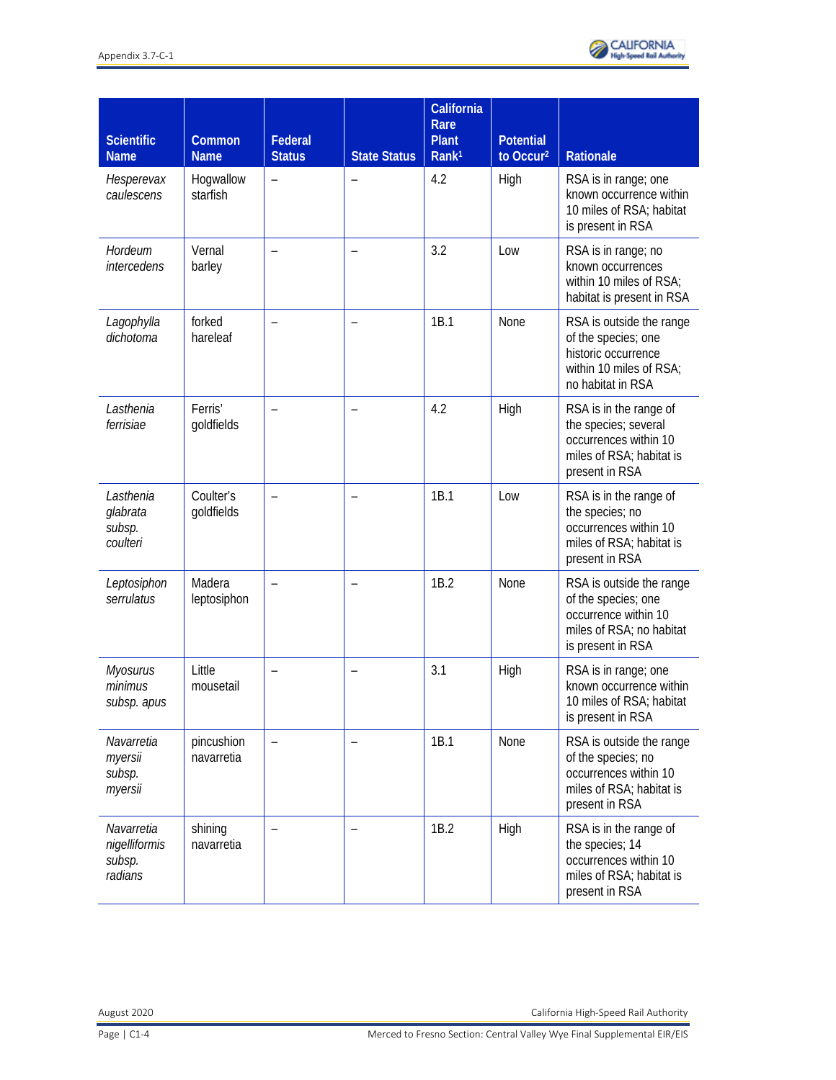| <b>Scientific</b><br><b>Name</b>                 | <b>Common</b><br><b>Name</b> | Federal<br><b>Status</b> | <b>State Status</b> | California<br>Rare<br><b>Plant</b><br>Rank <sup>1</sup> | <b>Potential</b><br>to Occur <sup>2</sup> | Rationale                                                                                                                |
|--------------------------------------------------|------------------------------|--------------------------|---------------------|---------------------------------------------------------|-------------------------------------------|--------------------------------------------------------------------------------------------------------------------------|
| Hesperevax<br>caulescens                         | Hogwallow<br>starfish        | $\overline{\phantom{0}}$ |                     | 4.2                                                     | High                                      | RSA is in range; one<br>known occurrence within<br>10 miles of RSA; habitat<br>is present in RSA                         |
| Hordeum<br>intercedens                           | Vernal<br>barley             | $\overline{\phantom{0}}$ |                     | 3.2                                                     | Low                                       | RSA is in range; no<br>known occurrences<br>within 10 miles of RSA;<br>habitat is present in RSA                         |
| Lagophylla<br>dichotoma                          | forked<br>hareleaf           |                          |                     | 1B.1                                                    | None                                      | RSA is outside the range<br>of the species; one<br>historic occurrence<br>within 10 miles of RSA;<br>no habitat in RSA   |
| Lasthenia<br>ferrisiae                           | Ferris'<br>goldfields        | $\overline{\phantom{a}}$ |                     | 4.2                                                     | High                                      | RSA is in the range of<br>the species; several<br>occurrences within 10<br>miles of RSA; habitat is<br>present in RSA    |
| Lasthenia<br>glabrata<br>subsp.<br>coulteri      | Coulter's<br>goldfields      | $\overline{\phantom{a}}$ |                     | 1B.1                                                    | Low                                       | RSA is in the range of<br>the species; no<br>occurrences within 10<br>miles of RSA; habitat is<br>present in RSA         |
| Leptosiphon<br>serrulatus                        | Madera<br>leptosiphon        |                          |                     | 1B.2                                                    | None                                      | RSA is outside the range<br>of the species; one<br>occurrence within 10<br>miles of RSA; no habitat<br>is present in RSA |
| <b>Myosurus</b><br>minimus<br>subsp. apus        | Little<br>mousetail          | $\overline{\phantom{0}}$ |                     | 3.1                                                     | High                                      | RSA is in range; one<br>known occurrence within<br>10 miles of RSA; habitat<br>is present in RSA                         |
| Navarretia<br>myersii<br>subsp.<br>myersii       | pincushion<br>navarretia     |                          |                     | 1B.1                                                    | None                                      | RSA is outside the range<br>of the species; no<br>occurrences within 10<br>miles of RSA; habitat is<br>present in RSA    |
| Navarretia<br>nigelliformis<br>subsp.<br>radians | shining<br>navarretia        |                          |                     | 1B.2                                                    | High                                      | RSA is in the range of<br>the species; 14<br>occurrences within 10<br>miles of RSA; habitat is<br>present in RSA         |

August 2020 California High-Speed Rail Authority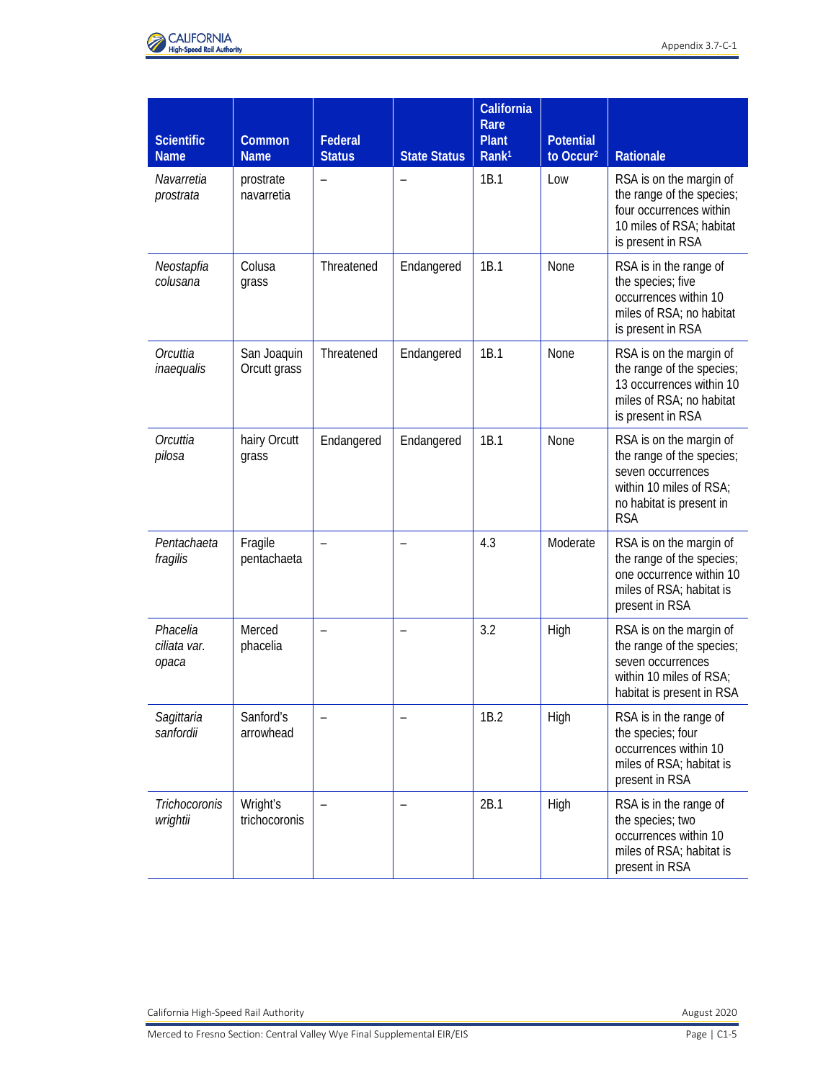

| <b>Scientific</b><br><b>Name</b>  | Common<br><b>Name</b>       | Federal<br><b>Status</b> | <b>State Status</b> | California<br>Rare<br><b>Plant</b><br>Rank <sup>1</sup> | <b>Potential</b><br>to Occur <sup>2</sup> | <b>Rationale</b>                                                                                                                               |
|-----------------------------------|-----------------------------|--------------------------|---------------------|---------------------------------------------------------|-------------------------------------------|------------------------------------------------------------------------------------------------------------------------------------------------|
| Navarretia<br>prostrata           | prostrate<br>navarretia     | $\overline{\phantom{0}}$ |                     | 1B.1                                                    | Low                                       | RSA is on the margin of<br>the range of the species;<br>four occurrences within<br>10 miles of RSA; habitat<br>is present in RSA               |
| Neostapfia<br>colusana            | Colusa<br>grass             | Threatened               | Endangered          | 1B.1                                                    | None                                      | RSA is in the range of<br>the species; five<br>occurrences within 10<br>miles of RSA; no habitat<br>is present in RSA                          |
| Orcuttia<br>inaequalis            | San Joaquin<br>Orcutt grass | Threatened               | Endangered          | 1B.1                                                    | None                                      | RSA is on the margin of<br>the range of the species;<br>13 occurrences within 10<br>miles of RSA; no habitat<br>is present in RSA              |
| Orcuttia<br>pilosa                | hairy Orcutt<br>grass       | Endangered               | Endangered          | 1B.1                                                    | <b>None</b>                               | RSA is on the margin of<br>the range of the species;<br>seven occurrences<br>within 10 miles of RSA;<br>no habitat is present in<br><b>RSA</b> |
| Pentachaeta<br>fragilis           | Fragile<br>pentachaeta      | $\overline{\phantom{0}}$ |                     | 4.3                                                     | Moderate                                  | RSA is on the margin of<br>the range of the species;<br>one occurrence within 10<br>miles of RSA; habitat is<br>present in RSA                 |
| Phacelia<br>ciliata var.<br>ораса | Merced<br>phacelia          |                          |                     | 3.2                                                     | High                                      | RSA is on the margin of<br>the range of the species;<br>seven occurrences<br>within 10 miles of RSA;<br>habitat is present in RSA              |
| Sagittaria<br>sanfordii           | Sanford's<br>arrowhead      |                          |                     | 1B.2                                                    | High                                      | RSA is in the range of<br>the species; four<br>occurrences within 10<br>miles of RSA; habitat is<br>present in RSA                             |
| Trichocoronis<br>wrightii         | Wright's<br>trichocoronis   |                          |                     | 2B.1                                                    | High                                      | RSA is in the range of<br>the species; two<br>occurrences within 10<br>miles of RSA; habitat is<br>present in RSA                              |